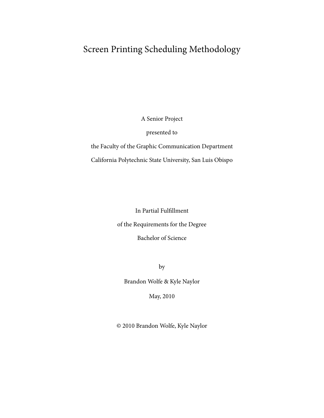A Senior Project

presented to

the Faculty of the Graphic Communication Department California Polytechnic State University, San Luis Obispo

In Partial Fulfillment

of the Requirements for the Degree

Bachelor of Science

by

Brandon Wolfe & Kyle Naylor

May, 2010

© 2010 Brandon Wolfe, Kyle Naylor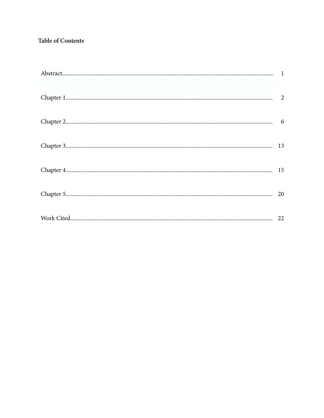# **Table of Contents**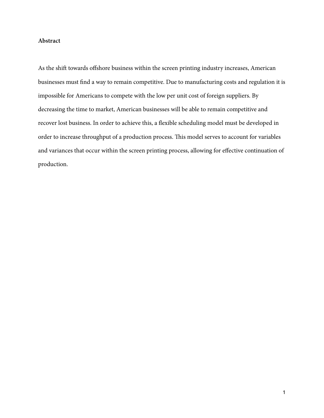## **Abstract**

As the shift towards offshore business within the screen printing industry increases, American businesses must find a way to remain competitive. Due to manufacturing costs and regulation it is impossible for Americans to compete with the low per unit cost of foreign suppliers. By decreasing the time to market, American businesses will be able to remain competitive and recover lost business. In order to achieve this, a flexible scheduling model must be developed in order to increase throughput of a production process. This model serves to account for variables and variances that occur within the screen printing process, allowing for effective continuation of production.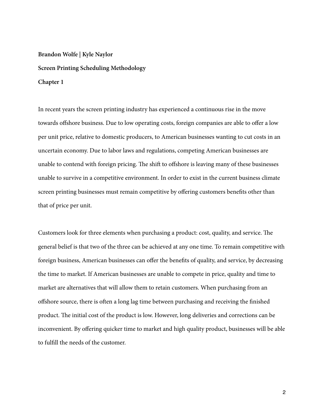# **Brandon Wolfe | Kyle Naylor Screen Printing Scheduling Methodology Chapter 1**

In recent years the screen printing industry has experienced a continuous rise in the move towards offshore business. Due to low operating costs, foreign companies are able to offer a low per unit price, relative to domestic producers, to American businesses wanting to cut costs in an uncertain economy. Due to labor laws and regulations, competing American businesses are unable to contend with foreign pricing. The shift to offshore is leaving many of these businesses unable to survive in a competitive environment. In order to exist in the current business climate screen printing businesses must remain competitive by offering customers benefits other than that of price per unit.

Customers look for three elements when purchasing a product: cost, quality, and service. The general belief is that two of the three can be achieved at any one time. To remain competitive with foreign business, American businesses can offer the benefits of quality, and service, by decreasing the time to market. If American businesses are unable to compete in price, quality and time to market are alternatives that will allow them to retain customers. When purchasing from an offshore source, there is often a long lag time between purchasing and receiving the finished product. The initial cost of the product is low. However, long deliveries and corrections can be inconvenient. By offering quicker time to market and high quality product, businesses will be able to fulfill the needs of the customer.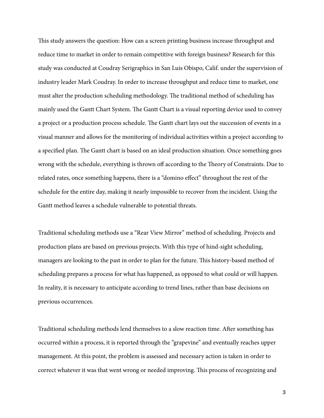This study answers the question: How can a screen printing business increase throughput and reduce time to market in order to remain competitive with foreign business? Research for this study was conducted at Coudray Serigraphics in San Luis Obispo, Calif. under the supervision of industry leader Mark Coudray. In order to increase throughput and reduce time to market, one must alter the production scheduling methodology. The traditional method of scheduling has mainly used the Gantt Chart System. The Gantt Chart is a visual reporting device used to convey a project or a production process schedule. The Gantt chart lays out the succession of events in a visual manner and allows for the monitoring of individual activities within a project according to a specified plan. The Gantt chart is based on an ideal production situation. Once something goes wrong with the schedule, everything is thrown off according to the Theory of Constraints. Due to related rates, once something happens, there is a "domino effect" throughout the rest of the schedule for the entire day, making it nearly impossible to recover from the incident. Using the Gantt method leaves a schedule vulnerable to potential threats.

Traditional scheduling methods use a "Rear View Mirror" method of scheduling. Projects and production plans are based on previous projects. With this type of hind-sight scheduling, managers are looking to the past in order to plan for the future. This history-based method of scheduling prepares a process for what has happened, as opposed to what could or will happen. In reality, it is necessary to anticipate according to trend lines, rather than base decisions on previous occurrences.

Traditional scheduling methods lend themselves to a slow reaction time. After something has occurred within a process, it is reported through the "grapevine" and eventually reaches upper management. At this point, the problem is assessed and necessary action is taken in order to correct whatever it was that went wrong or needed improving. This process of recognizing and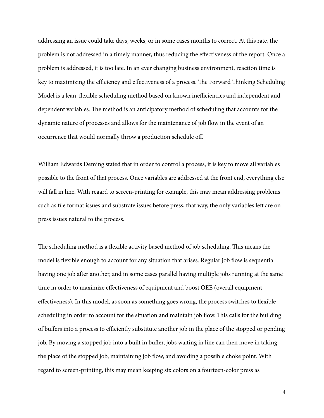addressing an issue could take days, weeks, or in some cases months to correct. At this rate, the problem is not addressed in a timely manner, thus reducing the effectiveness of the report. Once a problem is addressed, it is too late. In an ever changing business environment, reaction time is key to maximizing the efficiency and effectiveness of a process. The Forward Thinking Scheduling Model is a lean, flexible scheduling method based on known inefficiencies and independent and dependent variables. The method is an anticipatory method of scheduling that accounts for the dynamic nature of processes and allows for the maintenance of job flow in the event of an occurrence that would normally throw a production schedule off.

William Edwards Deming stated that in order to control a process, it is key to move all variables possible to the front of that process. Once variables are addressed at the front end, everything else will fall in line. With regard to screen-printing for example, this may mean addressing problems such as file format issues and substrate issues before press, that way, the only variables left are onpress issues natural to the process.

The scheduling method is a flexible activity based method of job scheduling. This means the model is flexible enough to account for any situation that arises. Regular job flow is sequential having one job after another, and in some cases parallel having multiple jobs running at the same time in order to maximize effectiveness of equipment and boost OEE (overall equipment effectiveness). In this model, as soon as something goes wrong, the process switches to flexible scheduling in order to account for the situation and maintain job flow. This calls for the building of buffers into a process to efficiently substitute another job in the place of the stopped or pending job. By moving a stopped job into a built in buffer, jobs waiting in line can then move in taking the place of the stopped job, maintaining job flow, and avoiding a possible choke point. With regard to screen-printing, this may mean keeping six colors on a fourteen-color press as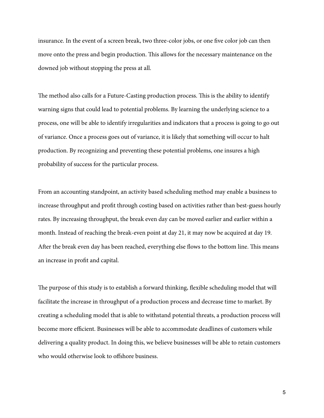insurance. In the event of a screen break, two three-color jobs, or one five color job can then move onto the press and begin production. This allows for the necessary maintenance on the downed job without stopping the press at all.

The method also calls for a Future-Casting production process. This is the ability to identify warning signs that could lead to potential problems. By learning the underlying science to a process, one will be able to identify irregularities and indicators that a process is going to go out of variance. Once a process goes out of variance, it is likely that something will occur to halt production. By recognizing and preventing these potential problems, one insures a high probability of success for the particular process.

From an accounting standpoint, an activity based scheduling method may enable a business to increase throughput and profit through costing based on activities rather than best-guess hourly rates. By increasing throughput, the break even day can be moved earlier and earlier within a month. Instead of reaching the break-even point at day 21, it may now be acquired at day 19. After the break even day has been reached, everything else flows to the bottom line. This means an increase in profit and capital.

The purpose of this study is to establish a forward thinking, flexible scheduling model that will facilitate the increase in throughput of a production process and decrease time to market. By creating a scheduling model that is able to withstand potential threats, a production process will become more efficient. Businesses will be able to accommodate deadlines of customers while delivering a quality product. In doing this, we believe businesses will be able to retain customers who would otherwise look to offshore business.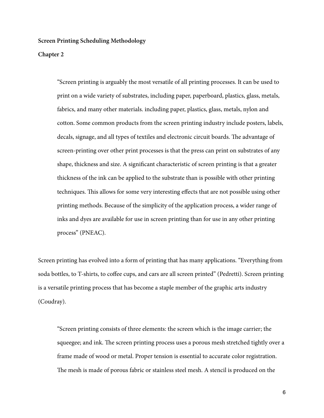#### **Chapter 2**

"Screen printing is arguably the most versatile of all printing processes. It can be used to print on a wide variety of substrates, including paper, paperboard, plastics, glass, metals, fabrics, and many other materials. including paper, plastics, glass, metals, nylon and cotton. Some common products from the screen printing industry include posters, labels, decals, signage, and all types of textiles and electronic circuit boards. The advantage of screen-printing over other print processes is that the press can print on substrates of any shape, thickness and size. A significant characteristic of screen printing is that a greater thickness of the ink can be applied to the substrate than is possible with other printing techniques. This allows for some very interesting effects that are not possible using other printing methods. Because of the simplicity of the application process, a wider range of inks and dyes are available for use in screen printing than for use in any other printing process" (PNEAC).

Screen printing has evolved into a form of printing that has many applications. "Everything from soda bottles, to T-shirts, to coffee cups, and cars are all screen printed" (Pedretti). Screen printing is a versatile printing process that has become a staple member of the graphic arts industry (Coudray).

"Screen printing consists of three elements: the screen which is the image carrier; the squeegee; and ink. The screen printing process uses a porous mesh stretched tightly over a frame made of wood or metal. Proper tension is essential to accurate color registration. The mesh is made of porous fabric or stainless steel mesh. A stencil is produced on the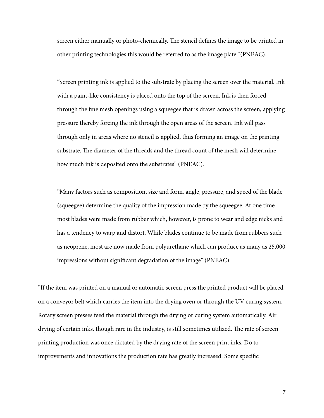screen either manually or photo-chemically. The stencil defines the image to be printed in other printing technologies this would be referred to as the image plate "(PNEAC).

"Screen printing ink is applied to the substrate by placing the screen over the material. Ink with a paint-like consistency is placed onto the top of the screen. Ink is then forced through the fine mesh openings using a squeegee that is drawn across the screen, applying pressure thereby forcing the ink through the open areas of the screen. Ink will pass through only in areas where no stencil is applied, thus forming an image on the printing substrate. The diameter of the threads and the thread count of the mesh will determine how much ink is deposited onto the substrates" (PNEAC).

"Many factors such as composition, size and form, angle, pressure, and speed of the blade (squeegee) determine the quality of the impression made by the squeegee. At one time most blades were made from rubber which, however, is prone to wear and edge nicks and has a tendency to warp and distort. While blades continue to be made from rubbers such as neoprene, most are now made from polyurethane which can produce as many as 25,000 impressions without significant degradation of the image" (PNEAC).

"If the item was printed on a manual or automatic screen press the printed product will be placed on a conveyor belt which carries the item into the drying oven or through the UV curing system. Rotary screen presses feed the material through the drying or curing system automatically. Air drying of certain inks, though rare in the industry, is still sometimes utilized. The rate of screen printing production was once dictated by the drying rate of the screen print inks. Do to improvements and innovations the production rate has greatly increased. Some specific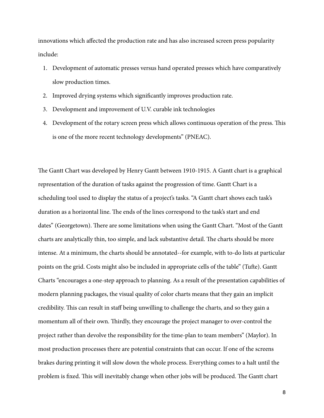innovations which affected the production rate and has also increased screen press popularity include:

- 1. Development of automatic presses versus hand operated presses which have comparatively slow production times.
- 2. Improved drying systems which significantly improves production rate.
- 3. Development and improvement of U.V. curable ink technologies
- 4. Development of the rotary screen press which allows continuous operation of the press. This is one of the more recent technology developments" (PNEAC).

The Gantt Chart was developed by Henry Gantt between 1910-1915. A Gantt chart is a graphical representation of the duration of tasks against the progression of time. Gantt Chart is a scheduling tool used to display the status of a project's tasks. "A Gantt chart shows each task's duration as a horizontal line. The ends of the lines correspond to the task's start and end dates" (Georgetown). There are some limitations when using the Gantt Chart. "Most of the Gantt" charts are analytically thin, too simple, and lack substantive detail. The charts should be more intense. At a minimum, the charts should be annotated--for example, with to-do lists at particular points on the grid. Costs might also be included in appropriate cells of the table" (Tufte). Gantt Charts "encourages a one-step approach to planning. As a result of the presentation capabilities of modern planning packages, the visual quality of color charts means that they gain an implicit credibility. This can result in staff being unwilling to challenge the charts, and so they gain a momentum all of their own. Thirdly, they encourage the project manager to over-control the project rather than devolve the responsibility for the time-plan to team members" (Maylor). In most production processes there are potential constraints that can occur. If one of the screens brakes during printing it will slow down the whole process. Everything comes to a halt until the problem is fixed. This will inevitably change when other jobs will be produced. The Gantt chart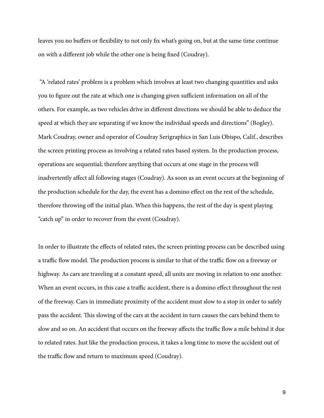leaves you no buffers or flexibility to not only fix what's going on, but at the same time continue on with a different job while the other one is being fixed (Coudray).

 "A 'related rates' problem is a problem which involves at least two changing quantities and asks you to figure out the rate at which one is changing given sufficient information on all of the others. For example, as two vehicles drive in different directions we should be able to deduce the speed at which they are separating if we know the individual speeds and directions" (Bogley). Mark Coudray, owner and operator of Coudray Serigraphics in San Luis Obispo, Calif., describes the screen printing process as involving a related rates based system. In the production process, operations are sequential; therefore anything that occurs at one stage in the process will inadvertently affect all following stages (Coudray). As soon as an event occurs at the beginning of the production schedule for the day, the event has a domino effect on the rest of the schedule, therefore throwing off the initial plan. When this happens, the rest of the day is spent playing "catch up" in order to recover from the event (Coudray).

In order to illustrate the effects of related rates, the screen printing process can be described using a traffic flow model. The production process is similar to that of the traffic flow on a freeway or highway. As cars are traveling at a constant speed, all units are moving in relation to one another. When an event occurs, in this case a traffic accident, there is a domino effect throughout the rest of the freeway. Cars in immediate proximity of the accident must slow to a stop in order to safely pass the accident. This slowing of the cars at the accident in turn causes the cars behind them to slow and so on. An accident that occurs on the freeway affects the traffic flow a mile behind it due to related rates. Just like the production process, it takes a long time to move the accident out of the traffic flow and return to maximum speed (Coudray).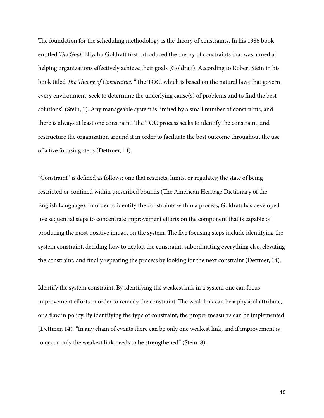The foundation for the scheduling methodology is the theory of constraints. In his 1986 book entitled The Goal, Eliyahu Goldratt first introduced the theory of constraints that was aimed at helping organizations effectively achieve their goals (Goldratt). According to Robert Stein in his book titled The Theory of Constraints, "The TOC, which is based on the natural laws that govern every environment, seek to determine the underlying cause(s) of problems and to find the best solutions" (Stein, 1). Any manageable system is limited by a small number of constraints, and there is always at least one constraint. The TOC process seeks to identify the constraint, and restructure the organization around it in order to facilitate the best outcome throughout the use of a five focusing steps (Dettmer, 14).

"Constraint" is defined as follows: one that restricts, limits, or regulates; the state of being restricted or confined within prescribed bounds (The American Heritage Dictionary of the English Language). In order to identify the constraints within a process, Goldratt has developed five sequential steps to concentrate improvement efforts on the component that is capable of producing the most positive impact on the system. The five focusing steps include identifying the system constraint, deciding how to exploit the constraint, subordinating everything else, elevating the constraint, and finally repeating the process by looking for the next constraint (Dettmer, 14).

Identify the system constraint. By identifying the weakest link in a system one can focus improvement efforts in order to remedy the constraint. The weak link can be a physical attribute, or a flaw in policy. By identifying the type of constraint, the proper measures can be implemented (Dettmer, 14). "In any chain of events there can be only one weakest link, and if improvement is to occur only the weakest link needs to be strengthened" (Stein, 8).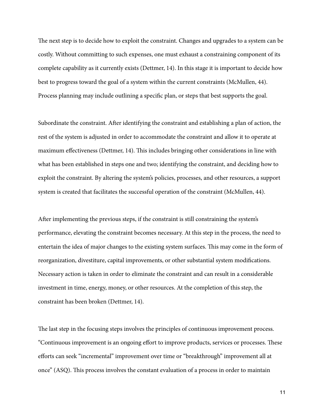The next step is to decide how to exploit the constraint. Changes and upgrades to a system can be costly. Without committing to such expenses, one must exhaust a constraining component of its complete capability as it currently exists (Dettmer, 14). In this stage it is important to decide how best to progress toward the goal of a system within the current constraints (McMullen, 44). Process planning may include outlining a specific plan, or steps that best supports the goal.

Subordinate the constraint. After identifying the constraint and establishing a plan of action, the rest of the system is adjusted in order to accommodate the constraint and allow it to operate at maximum effectiveness (Dettmer, 14). This includes bringing other considerations in line with what has been established in steps one and two; identifying the constraint, and deciding how to exploit the constraint. By altering the system's policies, processes, and other resources, a support system is created that facilitates the successful operation of the constraint (McMullen, 44).

After implementing the previous steps, if the constraint is still constraining the system's performance, elevating the constraint becomes necessary. At this step in the process, the need to entertain the idea of major changes to the existing system surfaces. This may come in the form of reorganization, divestiture, capital improvements, or other substantial system modifications. Necessary action is taken in order to eliminate the constraint and can result in a considerable investment in time, energy, money, or other resources. At the completion of this step, the constraint has been broken (Dettmer, 14).

The last step in the focusing steps involves the principles of continuous improvement process. "Continuous improvement is an ongoing effort to improve products, services or processes. These efforts can seek "incremental" improvement over time or "breakthrough" improvement all at once" (ASQ). %is process involves the constant evaluation of a process in order to maintain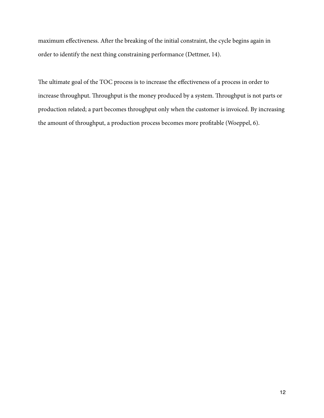maximum effectiveness. After the breaking of the initial constraint, the cycle begins again in order to identify the next thing constraining performance (Dettmer, 14).

The ultimate goal of the TOC process is to increase the effectiveness of a process in order to increase throughput. Throughput is the money produced by a system. Throughput is not parts or production related; a part becomes throughput only when the customer is invoiced. By increasing the amount of throughput, a production process becomes more profitable (Woeppel, 6).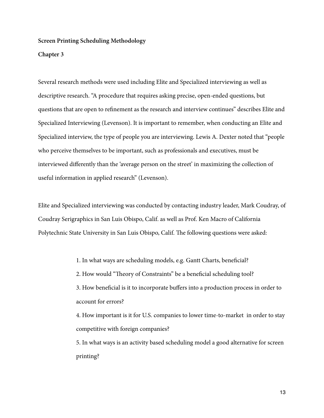#### **Chapter 3**

Several research methods were used including Elite and Specialized interviewing as well as descriptive research. "A procedure that requires asking precise, open-ended questions, but questions that are open to refinement as the research and interview continues" describes Elite and Specialized Interviewing (Levenson). It is important to remember, when conducting an Elite and Specialized interview, the type of people you are interviewing. Lewis A. Dexter noted that "people who perceive themselves to be important, such as professionals and executives, must be interviewed differently than the 'average person on the street' in maximizing the collection of useful information in applied research" (Levenson).

Elite and Specialized interviewing was conducted by contacting industry leader, Mark Coudray, of Coudray Serigraphics in San Luis Obispo, Calif. as well as Prof. Ken Macro of California Polytechnic State University in San Luis Obispo, Calif. The following questions were asked:

1. In what ways are scheduling models, e.g. Gantt Charts, beneficial?

2. How would "Theory of Constraints" be a beneficial scheduling tool?

3. How beneficial is it to incorporate buffers into a production process in order to account for errors?

4. How important is it for U.S. companies to lower time-to-market in order to stay competitive with foreign companies?

5. In what ways is an activity based scheduling model a good alternative for screen printing?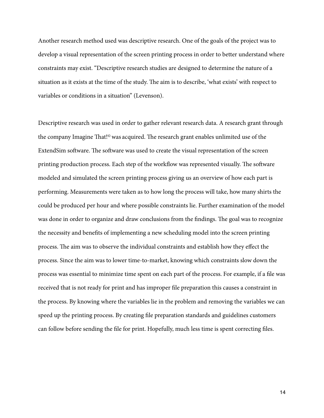Another research method used was descriptive research. One of the goals of the project was to develop a visual representation of the screen printing process in order to better understand where constraints may exist. "Descriptive research studies are designed to determine the nature of a situation as it exists at the time of the study. The aim is to describe, 'what exists' with respect to variables or conditions in a situation" (Levenson).

Descriptive research was used in order to gather relevant research data. A research grant through the company Imagine That!<sup>©</sup> was acquired. The research grant enables unlimited use of the ExtendSim software. The software was used to create the visual representation of the screen printing production process. Each step of the workflow was represented visually. The software modeled and simulated the screen printing process giving us an overview of how each part is performing. Measurements were taken as to how long the process will take, how many shirts the could be produced per hour and where possible constraints lie. Further examination of the model was done in order to organize and draw conclusions from the findings. The goal was to recognize the necessity and benefits of implementing a new scheduling model into the screen printing process. The aim was to observe the individual constraints and establish how they effect the process. Since the aim was to lower time-to-market, knowing which constraints slow down the process was essential to minimize time spent on each part of the process. For example, if a file was received that is not ready for print and has improper file preparation this causes a constraint in the process. By knowing where the variables lie in the problem and removing the variables we can speed up the printing process. By creating file preparation standards and guidelines customers can follow before sending the file for print. Hopefully, much less time is spent correcting files.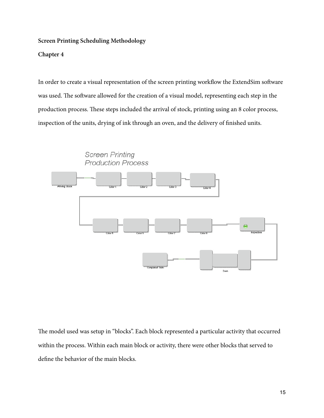### **Chapter 4**

In order to create a visual representation of the screen printing workflow the ExtendSim software was used. The software allowed for the creation of a visual model, representing each step in the production process. These steps included the arrival of stock, printing using an 8 color process, inspection of the units, drying of ink through an oven, and the delivery of finished units.





The model used was setup in "blocks". Each block represented a particular activity that occurred within the process. Within each main block or activity, there were other blocks that served to define the behavior of the main blocks.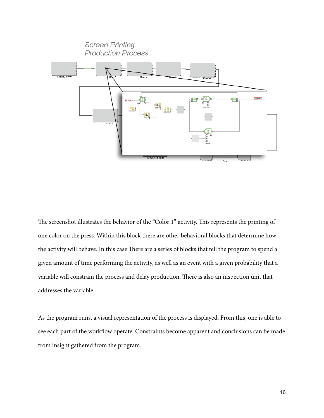

The screenshot illustrates the behavior of the "Color 1" activity. This represents the printing of one color on the press. Within this block there are other behavioral blocks that determine how the activity will behave. In this case There are a series of blocks that tell the program to spend a given amount of time performing the activity, as well as an event with a given probability that a variable will constrain the process and delay production. There is also an inspection unit that addresses the variable.

As the program runs, a visual representation of the process is displayed. From this, one is able to see each part of the workflow operate. Constraints become apparent and conclusions can be made from insight gathered from the program.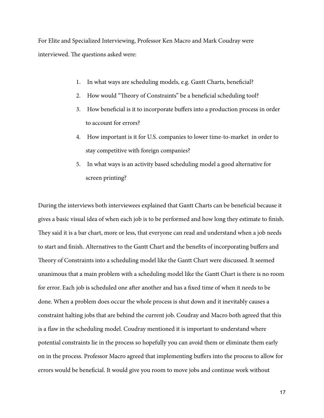For Elite and Specialized Interviewing, Professor Ken Macro and Mark Coudray were interviewed. The questions asked were:

- 1. In what ways are scheduling models, e.g. Gantt Charts, beneficial?
- 2. How would "Theory of Constraints" be a beneficial scheduling tool?
- 3. How beneficial is it to incorporate buffers into a production process in order to account for errors?
- 4. How important is it for U.S. companies to lower time-to-market in order to stay competitive with foreign companies?
- 5. In what ways is an activity based scheduling model a good alternative for screen printing?

During the interviews both interviewees explained that Gantt Charts can be beneficial because it gives a basic visual idea of when each job is to be performed and how long they estimate to finish. They said it is a bar chart, more or less, that everyone can read and understand when a job needs to start and finish. Alternatives to the Gantt Chart and the benefits of incorporating buffers and Theory of Constraints into a scheduling model like the Gantt Chart were discussed. It seemed unanimous that a main problem with a scheduling model like the Gantt Chart is there is no room for error. Each job is scheduled one after another and has a fixed time of when it needs to be done. When a problem does occur the whole process is shut down and it inevitably causes a constraint halting jobs that are behind the current job. Coudray and Macro both agreed that this is a flaw in the scheduling model. Coudray mentioned it is important to understand where potential constraints lie in the process so hopefully you can avoid them or eliminate them early on in the process. Professor Macro agreed that implementing buffers into the process to allow for errors would be beneficial. It would give you room to move jobs and continue work without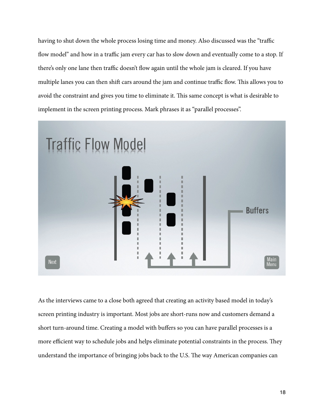having to shut down the whole process losing time and money. Also discussed was the "traffic flow model" and how in a traffic jam every car has to slow down and eventually come to a stop. If there's only one lane then traffic doesn't flow again until the whole jam is cleared. If you have multiple lanes you can then shift cars around the jam and continue traffic flow. This allows you to avoid the constraint and gives you time to eliminate it. This same concept is what is desirable to implement in the screen printing process. Mark phrases it as "parallel processes".



As the interviews came to a close both agreed that creating an activity based model in today's screen printing industry is important. Most jobs are short-runs now and customers demand a short turn-around time. Creating a model with buffers so you can have parallel processes is a more efficient way to schedule jobs and helps eliminate potential constraints in the process. They understand the importance of bringing jobs back to the U.S. The way American companies can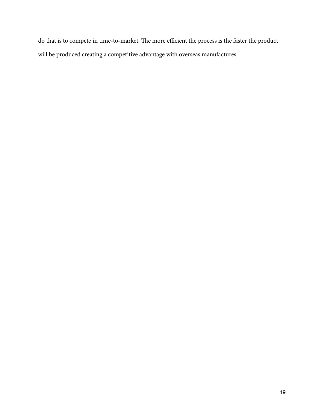do that is to compete in time-to-market. The more efficient the process is the faster the product will be produced creating a competitive advantage with overseas manufactures.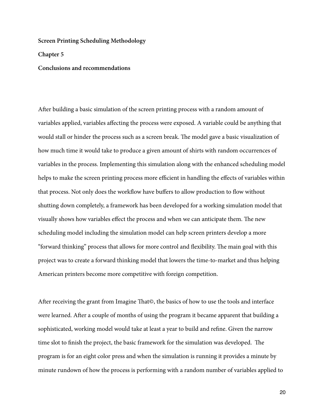**Chapter 5**

**Conclusions and recommendations**

After building a basic simulation of the screen printing process with a random amount of variables applied, variables affecting the process were exposed. A variable could be anything that would stall or hinder the process such as a screen break. The model gave a basic visualization of how much time it would take to produce a given amount of shirts with random occurrences of variables in the process. Implementing this simulation along with the enhanced scheduling model helps to make the screen printing process more efficient in handling the effects of variables within that process. Not only does the workflow have buffers to allow production to flow without shutting down completely, a framework has been developed for a working simulation model that visually shows how variables effect the process and when we can anticipate them. The new scheduling model including the simulation model can help screen printers develop a more "forward thinking" process that allows for more control and flexibility. The main goal with this project was to create a forward thinking model that lowers the time-to-market and thus helping American printers become more competitive with foreign competition.

After receiving the grant from Imagine That©, the basics of how to use the tools and interface were learned. After a couple of months of using the program it became apparent that building a sophisticated, working model would take at least a year to build and refine. Given the narrow time slot to finish the project, the basic framework for the simulation was developed. The program is for an eight color press and when the simulation is running it provides a minute by minute rundown of how the process is performing with a random number of variables applied to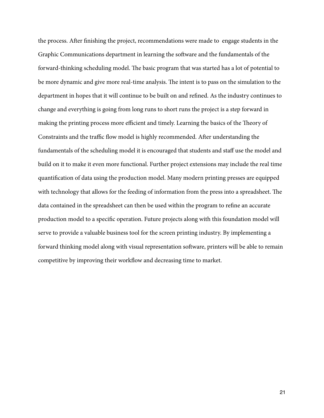the process. After finishing the project, recommendations were made to engage students in the Graphic Communications department in learning the software and the fundamentals of the forward-thinking scheduling model. The basic program that was started has a lot of potential to be more dynamic and give more real-time analysis. The intent is to pass on the simulation to the department in hopes that it will continue to be built on and refined. As the industry continues to change and everything is going from long runs to short runs the project is a step forward in making the printing process more efficient and timely. Learning the basics of the Theory of Constraints and the traffic flow model is highly recommended. After understanding the fundamentals of the scheduling model it is encouraged that students and staff use the model and build on it to make it even more functional. Further project extensions may include the real time quantification of data using the production model. Many modern printing presses are equipped with technology that allows for the feeding of information from the press into a spreadsheet. The data contained in the spreadsheet can then be used within the program to refine an accurate production model to a specific operation. Future projects along with this foundation model will serve to provide a valuable business tool for the screen printing industry. By implementing a forward thinking model along with visual representation software, printers will be able to remain competitive by improving their workflow and decreasing time to market.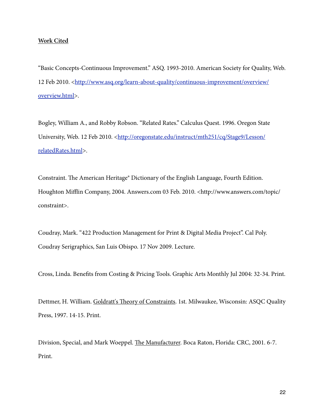#### **Work Cited**

"Basic Concepts-Continuous Improvement." ASQ. 1993-2010. American Society for Quality, Web. 12 Feb 2010. [<http://www.asq.org/learn-about-quality/continuous-improvement/overview/](http://www.asq.org/learn-about-quality/continuous-improvement/overview/overview.html) [overview.html](http://www.asq.org/learn-about-quality/continuous-improvement/overview/overview.html)>.

Bogley, William A., and Robby Robson. "Related Rates." Calculus Quest. 1996. Oregon State University, Web. 12 Feb 2010. [<http://oregonstate.edu/instruct/mth251/cq/Stage9/Lesson/](http://oregonstate.edu/instruct/mth251/cq/Stage9/Lesson/relatedRates.html) [relatedRates.html>](http://oregonstate.edu/instruct/mth251/cq/Stage9/Lesson/relatedRates.html).

Constraint. The American Heritage® Dictionary of the English Language, Fourth Edition. Houghton Mifflin Company, 2004. Answers.com 03 Feb. 2010. [<http://www.answers.com/topic/](http://www.answers.com/topic/constraint) [constraint](http://www.answers.com/topic/constraint)>.

Coudray, Mark. "422 Production Management for Print & Digital Media Project". Cal Poly. Coudray Serigraphics, San Luis Obispo. 17 Nov 2009. Lecture.

Cross, Linda. Benefits from Costing & Pricing Tools. Graphic Arts Monthly Jul 2004: 32-34. Print.

Dettmer, H. William. Goldratt's Theory of Constraints. 1st. Milwaukee, Wisconsin: ASQC Quality Press, 1997. 14-15. Print.

Division, Special, and Mark Woeppel. The Manufacturer. Boca Raton, Florida: CRC, 2001. 6-7. Print.